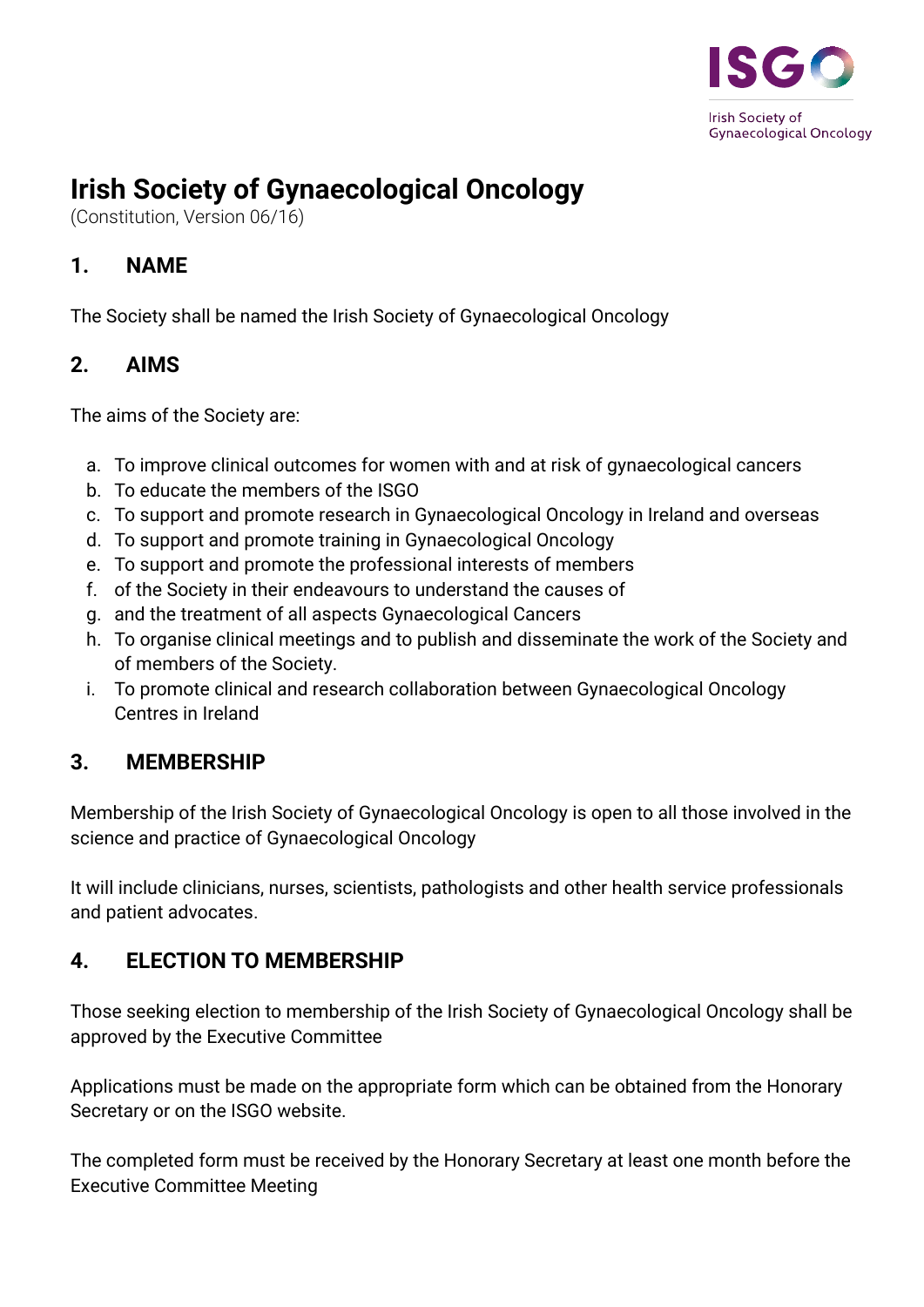

# **Irish Society of Gynaecological Oncology**

(Constitution, Version 06/16)

## **1. NAME**

The Society shall be named the Irish Society of Gynaecological Oncology

## **2. AIMS**

The aims of the Society are:

- a. To improve clinical outcomes for women with and at risk of gynaecological cancers
- b. To educate the members of the ISGO
- c. To support and promote research in Gynaecological Oncology in Ireland and overseas
- d. To support and promote training in Gynaecological Oncology
- e. To support and promote the professional interests of members
- f. of the Society in their endeavours to understand the causes of
- g. and the treatment of all aspects Gynaecological Cancers
- h. To organise clinical meetings and to publish and disseminate the work of the Society and of members of the Society.
- i. To promote clinical and research collaboration between Gynaecological Oncology Centres in Ireland

# **3. MEMBERSHIP**

Membership of the Irish Society of Gynaecological Oncology is open to all those involved in the science and practice of Gynaecological Oncology

It will include clinicians, nurses, scientists, pathologists and other health service professionals and patient advocates.

#### **4. ELECTION TO MEMBERSHIP**

Those seeking election to membership of the Irish Society of Gynaecological Oncology shall be approved by the Executive Committee

Applications must be made on the appropriate form which can be obtained from the Honorary Secretary or on the ISGO website.

The completed form must be received by the Honorary Secretary at least one month before the Executive Committee Meeting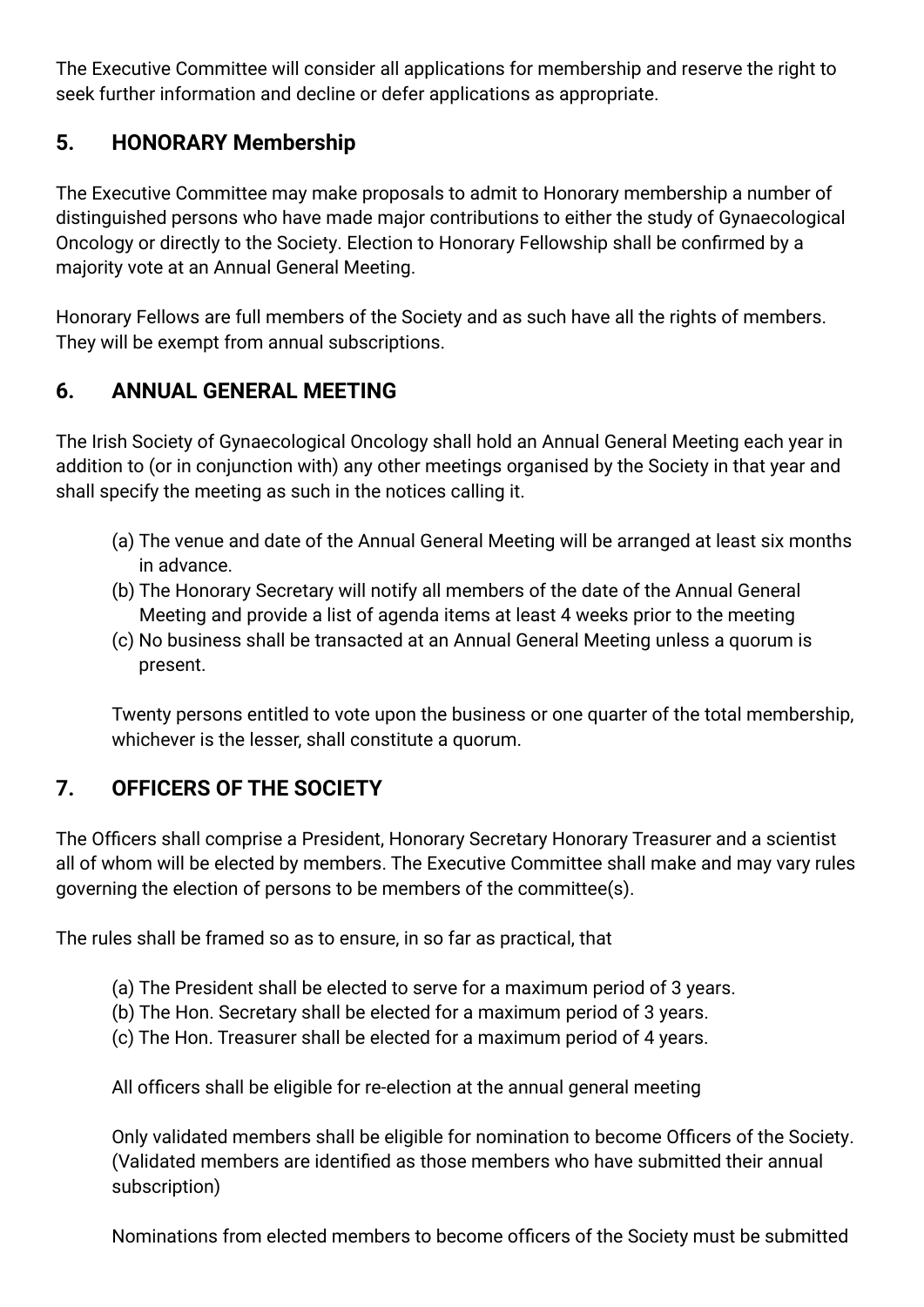The Executive Committee will consider all applications for membership and reserve the right to seek further information and decline or defer applications as appropriate.

## **5. HONORARY Membership**

The Executive Committee may make proposals to admit to Honorary membership a number of distinguished persons who have made major contributions to either the study of Gynaecological Oncology or directly to the Society. Election to Honorary Fellowship shall be confirmed by a majority vote at an Annual General Meeting.

Honorary Fellows are full members of the Society and as such have all the rights of members. They will be exempt from annual subscriptions.

#### **6. ANNUAL GENERAL MEETING**

The Irish Society of Gynaecological Oncology shall hold an Annual General Meeting each year in addition to (or in conjunction with) any other meetings organised by the Society in that year and shall specify the meeting as such in the notices calling it.

- (a) The venue and date of the Annual General Meeting will be arranged at least six months in advance.
- (b) The Honorary Secretary will notify all members of the date of the Annual General Meeting and provide a list of agenda items at least 4 weeks prior to the meeting
- (c) No business shall be transacted at an Annual General Meeting unless a quorum is present.

 Twenty persons entitled to vote upon the business or one quarter of the total membership, whichever is the lesser, shall constitute a quorum.

# **7. OFFICERS OF THE SOCIETY**

The Officers shall comprise a President, Honorary Secretary Honorary Treasurer and a scientist all of whom will be elected by members. The Executive Committee shall make and may vary rules governing the election of persons to be members of the committee(s).

The rules shall be framed so as to ensure, in so far as practical, that

- (a) The President shall be elected to serve for a maximum period of 3 years.
- (b) The Hon. Secretary shall be elected for a maximum period of 3 years.
- (c) The Hon. Treasurer shall be elected for a maximum period of 4 years.

All officers shall be eligible for re-election at the annual general meeting

Only validated members shall be eligible for nomination to become Officers of the Society. (Validated members are identified as those members who have submitted their annual subscription)

Nominations from elected members to become officers of the Society must be submitted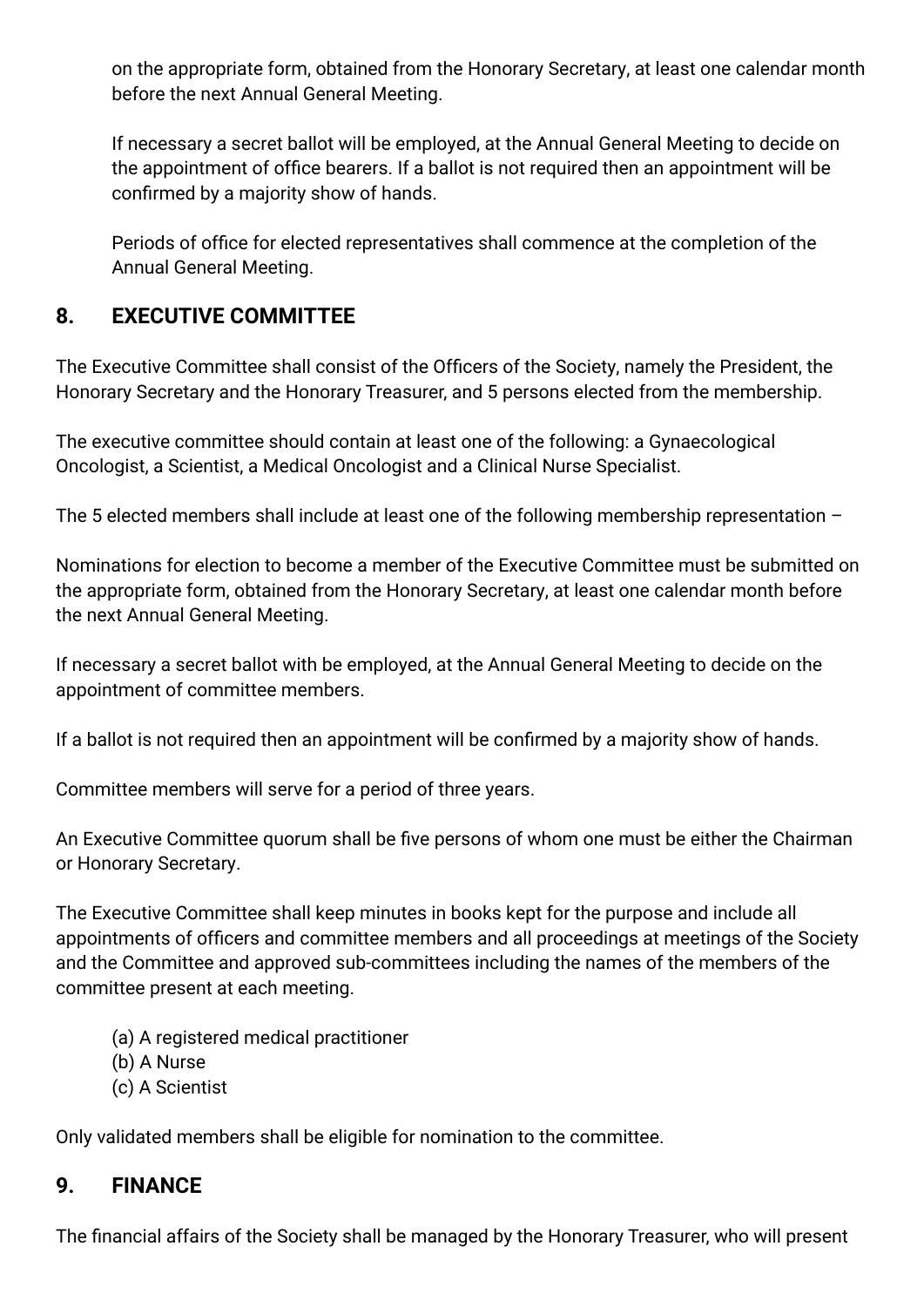on the appropriate form, obtained from the Honorary Secretary, at least one calendar month before the next Annual General Meeting.

If necessary a secret ballot will be employed, at the Annual General Meeting to decide on the appointment of office bearers. If a ballot is not required then an appointment will be confirmed by a majority show of hands.

Periods of office for elected representatives shall commence at the completion of the Annual General Meeting.

#### **8. EXECUTIVE COMMITTEE**

The Executive Committee shall consist of the Officers of the Society, namely the President, the Honorary Secretary and the Honorary Treasurer, and 5 persons elected from the membership.

The executive committee should contain at least one of the following: a Gynaecological Oncologist, a Scientist, a Medical Oncologist and a Clinical Nurse Specialist.

The 5 elected members shall include at least one of the following membership representation –

Nominations for election to become a member of the Executive Committee must be submitted on the appropriate form, obtained from the Honorary Secretary, at least one calendar month before the next Annual General Meeting.

If necessary a secret ballot with be employed, at the Annual General Meeting to decide on the appointment of committee members.

If a ballot is not required then an appointment will be confirmed by a majority show of hands.

Committee members will serve for a period of three years.

An Executive Committee quorum shall be five persons of whom one must be either the Chairman or Honorary Secretary.

The Executive Committee shall keep minutes in books kept for the purpose and include all appointments of officers and committee members and all proceedings at meetings of the Society and the Committee and approved sub-committees including the names of the members of the committee present at each meeting.

- (a) A registered medical practitioner
- (b) A Nurse
- (c) A Scientist

Only validated members shall be eligible for nomination to the committee.

#### **9. FINANCE**

The financial affairs of the Society shall be managed by the Honorary Treasurer, who will present